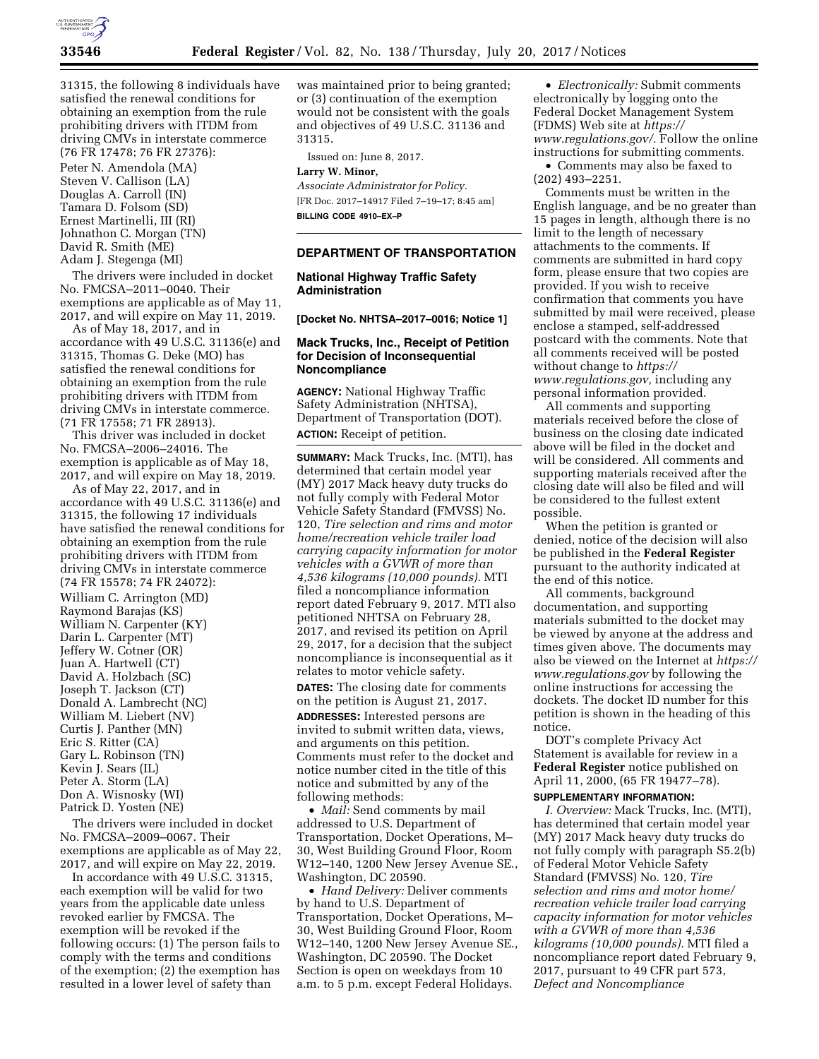

31315, the following 8 individuals have satisfied the renewal conditions for obtaining an exemption from the rule prohibiting drivers with ITDM from driving CMVs in interstate commerce (76 FR 17478; 76 FR 27376):

Peter N. Amendola (MA) Steven V. Callison (LA) Douglas A. Carroll (IN) Tamara D. Folsom (SD) Ernest Martinelli, III (RI) Johnathon C. Morgan (TN) David R. Smith (ME) Adam J. Stegenga (MI)

The drivers were included in docket No. FMCSA–2011–0040. Their exemptions are applicable as of May 11, 2017, and will expire on May 11, 2019.

As of May 18, 2017, and in accordance with 49 U.S.C. 31136(e) and 31315, Thomas G. Deke (MO) has satisfied the renewal conditions for obtaining an exemption from the rule prohibiting drivers with ITDM from driving CMVs in interstate commerce. (71 FR 17558; 71 FR 28913).

This driver was included in docket No. FMCSA–2006–24016. The exemption is applicable as of May 18, 2017, and will expire on May 18, 2019.

As of May 22, 2017, and in accordance with 49 U.S.C. 31136(e) and 31315, the following 17 individuals have satisfied the renewal conditions for obtaining an exemption from the rule prohibiting drivers with ITDM from driving CMVs in interstate commerce (74 FR 15578; 74 FR 24072): William C. Arrington (MD) Raymond Barajas (KS) William N. Carpenter (KY) Darin L. Carpenter (MT) Jeffery W. Cotner (OR) Juan A. Hartwell (CT) David A. Holzbach (SC) Joseph T. Jackson (CT) Donald A. Lambrecht (NC) William M. Liebert (NV) Curtis J. Panther (MN) Eric S. Ritter (CA) Gary L. Robinson (TN) Kevin J. Sears (IL) Peter A. Storm (LA) Don A. Wisnosky (WI) Patrick D. Yosten (NE)

The drivers were included in docket No. FMCSA–2009–0067. Their exemptions are applicable as of May 22, 2017, and will expire on May 22, 2019.

In accordance with 49 U.S.C. 31315, each exemption will be valid for two years from the applicable date unless revoked earlier by FMCSA. The exemption will be revoked if the following occurs: (1) The person fails to comply with the terms and conditions of the exemption; (2) the exemption has resulted in a lower level of safety than

was maintained prior to being granted; or (3) continuation of the exemption would not be consistent with the goals and objectives of 49 U.S.C. 31136 and 31315.

Issued on: June 8, 2017.

**Larry W. Minor,** 

*Associate Administrator for Policy.*  [FR Doc. 2017–14917 Filed 7–19–17; 8:45 am] **BILLING CODE 4910–EX–P** 

#### **DEPARTMENT OF TRANSPORTATION**

## **National Highway Traffic Safety Administration**

**[Docket No. NHTSA–2017–0016; Notice 1]** 

# **Mack Trucks, Inc., Receipt of Petition for Decision of Inconsequential Noncompliance**

**AGENCY:** National Highway Traffic Safety Administration (NHTSA), Department of Transportation (DOT). **ACTION:** Receipt of petition.

**SUMMARY:** Mack Trucks, Inc. (MTI), has determined that certain model year (MY) 2017 Mack heavy duty trucks do not fully comply with Federal Motor Vehicle Safety Standard (FMVSS) No. 120, *Tire selection and rims and motor home/recreation vehicle trailer load carrying capacity information for motor vehicles with a GVWR of more than 4,536 kilograms (10,000 pounds).* MTI filed a noncompliance information report dated February 9, 2017. MTI also petitioned NHTSA on February 28, 2017, and revised its petition on April 29, 2017, for a decision that the subject noncompliance is inconsequential as it relates to motor vehicle safety.

**DATES:** The closing date for comments on the petition is August 21, 2017.

**ADDRESSES:** Interested persons are invited to submit written data, views, and arguments on this petition. Comments must refer to the docket and notice number cited in the title of this notice and submitted by any of the following methods:

• *Mail:* Send comments by mail addressed to U.S. Department of Transportation, Docket Operations, M– 30, West Building Ground Floor, Room W12–140, 1200 New Jersey Avenue SE., Washington, DC 20590.

• *Hand Delivery:* Deliver comments by hand to U.S. Department of Transportation, Docket Operations, M– 30, West Building Ground Floor, Room W12–140, 1200 New Jersey Avenue SE., Washington, DC 20590. The Docket Section is open on weekdays from 10 a.m. to 5 p.m. except Federal Holidays.

• *Electronically:* Submit comments electronically by logging onto the Federal Docket Management System (FDMS) Web site at *[https://](https://www.regulations.gov/) [www.regulations.gov/.](https://www.regulations.gov/)* Follow the online instructions for submitting comments.

• Comments may also be faxed to (202) 493–2251.

Comments must be written in the English language, and be no greater than 15 pages in length, although there is no limit to the length of necessary attachments to the comments. If comments are submitted in hard copy form, please ensure that two copies are provided. If you wish to receive confirmation that comments you have submitted by mail were received, please enclose a stamped, self-addressed postcard with the comments. Note that all comments received will be posted without change to *[https://](https://www.regulations.gov) [www.regulations.gov,](https://www.regulations.gov)* including any personal information provided.

All comments and supporting materials received before the close of business on the closing date indicated above will be filed in the docket and will be considered. All comments and supporting materials received after the closing date will also be filed and will be considered to the fullest extent possible.

When the petition is granted or denied, notice of the decision will also be published in the **Federal Register**  pursuant to the authority indicated at the end of this notice.

All comments, background documentation, and supporting materials submitted to the docket may be viewed by anyone at the address and times given above. The documents may also be viewed on the Internet at *[https://](https://www.regulations.gov) [www.regulations.gov](https://www.regulations.gov)* by following the online instructions for accessing the dockets. The docket ID number for this petition is shown in the heading of this notice.

DOT's complete Privacy Act Statement is available for review in a **Federal Register** notice published on April 11, 2000, (65 FR 19477–78).

#### **SUPPLEMENTARY INFORMATION:**

*I. Overview:* Mack Trucks, Inc. (MTI), has determined that certain model year (MY) 2017 Mack heavy duty trucks do not fully comply with paragraph S5.2(b) of Federal Motor Vehicle Safety Standard (FMVSS) No. 120, *Tire selection and rims and motor home/ recreation vehicle trailer load carrying capacity information for motor vehicles with a GVWR of more than 4,536 kilograms (10,000 pounds).* MTI filed a noncompliance report dated February 9, 2017, pursuant to 49 CFR part 573, *Defect and Noncompliance*